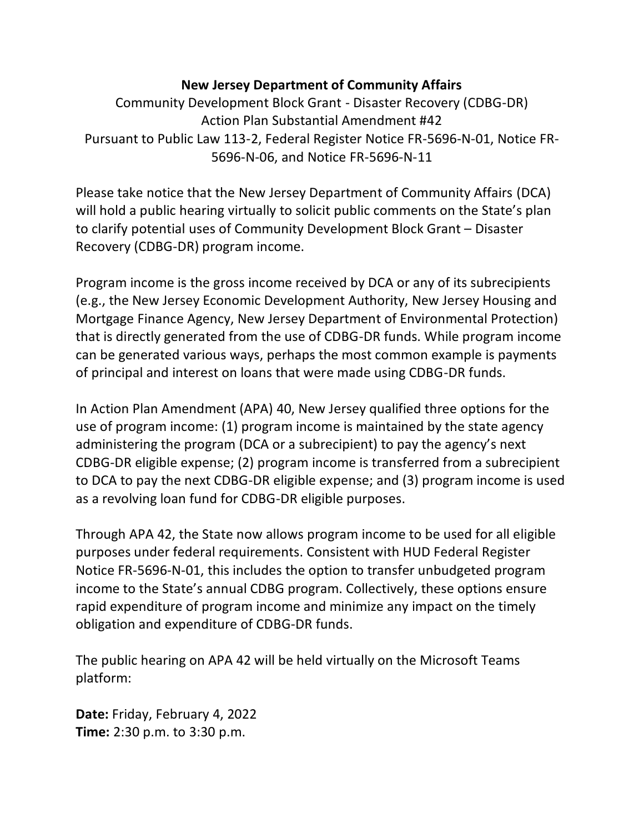## **New Jersey Department of Community Affairs**

Community Development Block Grant - Disaster Recovery (CDBG-DR) Action Plan Substantial Amendment #42 Pursuant to Public Law 113-2, Federal Register Notice FR-5696-N-01, Notice FR-5696-N-06, and Notice FR-5696-N-11

Please take notice that the New Jersey Department of Community Affairs (DCA) will hold a public hearing virtually to solicit public comments on the State's plan to clarify potential uses of Community Development Block Grant – Disaster Recovery (CDBG-DR) program income.

Program income is the gross income received by DCA or any of its subrecipients (e.g., the New Jersey Economic Development Authority, New Jersey Housing and Mortgage Finance Agency, New Jersey Department of Environmental Protection) that is directly generated from the use of CDBG-DR funds. While program income can be generated various ways, perhaps the most common example is payments of principal and interest on loans that were made using CDBG-DR funds.

In Action Plan Amendment (APA) 40, New Jersey qualified three options for the use of program income: (1) program income is maintained by the state agency administering the program (DCA or a subrecipient) to pay the agency's next CDBG-DR eligible expense; (2) program income is transferred from a subrecipient to DCA to pay the next CDBG-DR eligible expense; and (3) program income is used as a revolving loan fund for CDBG-DR eligible purposes.

Through APA 42, the State now allows program income to be used for all eligible purposes under federal requirements. Consistent with HUD Federal Register Notice FR-5696-N-01, this includes the option to transfer unbudgeted program income to the State's annual CDBG program. Collectively, these options ensure rapid expenditure of program income and minimize any impact on the timely obligation and expenditure of CDBG-DR funds.

The public hearing on APA 42 will be held virtually on the Microsoft Teams platform:

**Date:** Friday, February 4, 2022 **Time:** 2:30 p.m. to 3:30 p.m.